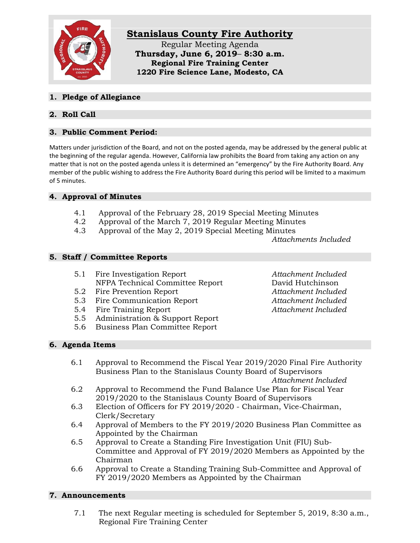

### **1. Pledge of Allegiance**

# **2. Roll Call**

# **3. Public Comment Period:**

Matters under jurisdiction of the Board, and not on the posted agenda, may be addressed by the general public at the beginning of the regular agenda. However, California law prohibits the Board from taking any action on any matter that is not on the posted agenda unless it is determined an "emergency" by the Fire Authority Board. Any member of the public wishing to address the Fire Authority Board during this period will be limited to a maximum of 5 minutes.

### **4. Approval of Minutes**

- 4.1 Approval of the February 28, 2019 Special Meeting Minutes
- 4.2 Approval of the March 7, 2019 Regular Meeting Minutes
- 4.3 Approval of the May 2, 2019 Special Meeting Minutes

*Attachments Included*

### **5. Staff / Committee Reports**

- 5.1 Fire Investigation Report *Attachment Included* NFPA Technical Committee Report David Hutchinson
- 5.2 Fire Prevention Report *Attachment Included*
- 5.3 Fire Communication Report *Attachment Included*
- 5.4 Fire Training Report *Attachment Included*
- 5.5 Administration & Support Report
- 5.6 Business Plan Committee Report

#### **6. Agenda Items**

- 6.1 Approval to Recommend the Fiscal Year 2019/2020 Final Fire Authority Business Plan to the Stanislaus County Board of Supervisors *Attachment Included*
- 6.2 Approval to Recommend the Fund Balance Use Plan for Fiscal Year 2019/2020 to the Stanislaus County Board of Supervisors
- 6.3 Election of Officers for FY 2019/2020 Chairman, Vice-Chairman, Clerk/Secretary
- 6.4 Approval of Members to the FY 2019/2020 Business Plan Committee as Appointed by the Chairman
- 6.5 Approval to Create a Standing Fire Investigation Unit (FIU) Sub-Committee and Approval of FY 2019/2020 Members as Appointed by the Chairman
- 6.6 Approval to Create a Standing Training Sub-Committee and Approval of FY 2019/2020 Members as Appointed by the Chairman

#### **7. Announcements**

7.1 The next Regular meeting is scheduled for September 5, 2019, 8:30 a.m., Regional Fire Training Center